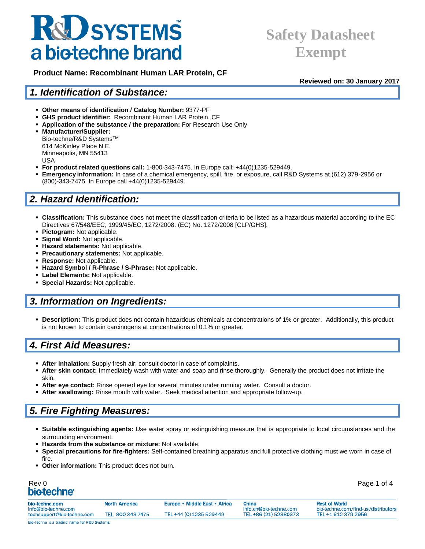## **K&D SYSTEMS** a biotechne brand

## **Safety Datasheet Exempt**

 **Product Name: Recombinant Human LAR Protein, CF**

**Reviewed on: 30 January 2017**

#### *1. Identification of Substance:*

- **Other means of identification / Catalog Number:** 9377-PF
- **GHS product identifier:** Recombinant Human LAR Protein, CF
- **Application of the substance / the preparation:** For Research Use Only

 **Manufacturer/Supplier:** Bio-techne/R&D SystemsTM 614 McKinley Place N.E. Minneapolis, MN 55413 USA

- **For product related questions call:** 1-800-343-7475. In Europe call: +44(0)1235-529449.
- **Emergency information:** In case of a chemical emergency, spill, fire, or exposure, call R&D Systems at (612) 379-2956 or (800)-343-7475. In Europe call +44(0)1235-529449.

### *2. Hazard Identification:*

- **Classification:** This substance does not meet the classification criteria to be listed as a hazardous material according to the EC Directives 67/548/EEC, 1999/45/EC, 1272/2008. (EC) No. 1272/2008 [CLP/GHS].
- **Pictogram:** Not applicable.
- **Signal Word:** Not applicable.
- **Hazard statements:** Not applicable.
- **Precautionary statements:** Not applicable.
- **Response:** Not applicable.
- **Hazard Symbol / R-Phrase / S-Phrase:** Not applicable.
- **Label Elements:** Not applicable.
- **Special Hazards:** Not applicable.

### *3. Information on Ingredients:*

 **Description:** This product does not contain hazardous chemicals at concentrations of 1% or greater. Additionally, this product is not known to contain carcinogens at concentrations of 0.1% or greater.

### *4. First Aid Measures:*

- **After inhalation:** Supply fresh air; consult doctor in case of complaints.
- **After skin contact:** Immediately wash with water and soap and rinse thoroughly. Generally the product does not irritate the skin.
- **After eye contact:** Rinse opened eye for several minutes under running water. Consult a doctor.
- **After swallowing:** Rinse mouth with water. Seek medical attention and appropriate follow-up.

### *5. Fire Fighting Measures:*

- **Suitable extinguishing agents:** Use water spray or extinguishing measure that is appropriate to local circumstances and the surrounding environment.
- **Hazards from the substance or mixture:** Not available.
- **Special precautions for fire-fighters:** Self-contained breathing apparatus and full protective clothing must we worn in case of fire.
- **Other information:** This product does not burn.

| Rev 0                   | Page 1 of 4 |
|-------------------------|-------------|
| bio-techne <sup>®</sup> |             |

| bio-techne.com<br>info@bio-techne.com        | <b>North America</b> | Europe • Middle East • Africa | China<br>info.cn@bio-techne.com | <b>Rest of World</b><br>bio-techne.com/find-us/distributors |
|----------------------------------------------|----------------------|-------------------------------|---------------------------------|-------------------------------------------------------------|
| techsupport@bio-techne.com                   | TEL 800 343 7475     | TEL+44 (0) 1235 529449        | TEL +86 (21) 52380373           | TEL+1 612 379 2956                                          |
| Bio-Techne is a trading name for R&D Systems |                      |                               |                                 |                                                             |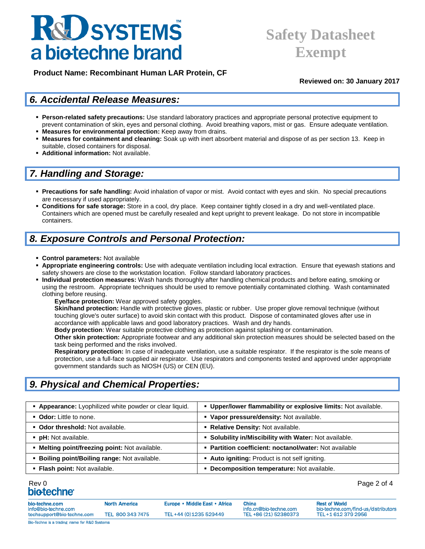# **R&D SYSTEMS** a biotechne brand

## **Safety Datasheet Exempt**

 **Product Name: Recombinant Human LAR Protein, CF**

**Reviewed on: 30 January 2017**

### *6. Accidental Release Measures:*

- **Person-related safety precautions:** Use standard laboratory practices and appropriate personal protective equipment to prevent contamination of skin, eyes and personal clothing. Avoid breathing vapors, mist or gas. Ensure adequate ventilation.
- **Measures for environmental protection:** Keep away from drains.
- **Measures for containment and cleaning:** Soak up with inert absorbent material and dispose of as per section 13. Keep in suitable, closed containers for disposal.
- **Additional information:** Not available.

### *7. Handling and Storage:*

- **Precautions for safe handling:** Avoid inhalation of vapor or mist. Avoid contact with eyes and skin. No special precautions are necessary if used appropriately.
- **Conditions for safe storage:** Store in a cool, dry place. Keep container tightly closed in a dry and well-ventilated place. Containers which are opened must be carefully resealed and kept upright to prevent leakage. Do not store in incompatible containers.

### *8. Exposure Controls and Personal Protection:*

- **Control parameters:** Not available
- **Appropriate engineering controls:** Use with adequate ventilation including local extraction. Ensure that eyewash stations and safety showers are close to the workstation location. Follow standard laboratory practices.
- **Individual protection measures:** Wash hands thoroughly after handling chemical products and before eating, smoking or using the restroom. Appropriate techniques should be used to remove potentially contaminated clothing. Wash contaminated clothing before reusing.

**Eye/face protection:** Wear approved safety goggles.

**Skin/hand protection:** Handle with protective gloves, plastic or rubber. Use proper glove removal technique (without touching glove's outer surface) to avoid skin contact with this product. Dispose of contaminated gloves after use in accordance with applicable laws and good laboratory practices. Wash and dry hands.

**Body protection**: Wear suitable protective clothing as protection against splashing or contamination.

**Other skin protection:** Appropriate footwear and any additional skin protection measures should be selected based on the task being performed and the risks involved.

**Respiratory protection:** In case of inadequate ventilation, use a suitable respirator. If the respirator is the sole means of protection, use a full-face supplied air respirator. Use respirators and components tested and approved under appropriate government standards such as NIOSH (US) or CEN (EU).

### *9. Physical and Chemical Properties:*

| <b>- Appearance:</b> Lyophilized white powder or clear liquid. | • Upper/lower flammability or explosive limits: Not available. |
|----------------------------------------------------------------|----------------------------------------------------------------|
| • Odor: Little to none.                                        | • Vapor pressure/density: Not available.                       |
| • Odor threshold: Not available.                               | • Relative Density: Not available.                             |
| • pH: Not available.                                           | • Solubility in/Miscibility with Water: Not available.         |
| • Melting point/freezing point: Not available.                 | • Partition coefficient: noctanol/water: Not available         |
| • Boiling point/Boiling range: Not available.                  | • Auto igniting: Product is not self igniting.                 |
| • Flash point: Not available.                                  | • Decomposition temperature: Not available.                    |

## Rev 0 Page 2 of 4

| bio-techne.com<br>info@bio-techne.com        | <b>North America</b> | Europe • Middle East • Africa | China<br>info.cn@bio-techne.com | <b>Rest of World</b><br>bio-techne.com/find-us/distributors |
|----------------------------------------------|----------------------|-------------------------------|---------------------------------|-------------------------------------------------------------|
| techsupport@bio-techne.com                   | TEL 800 343 7475     | TEL+44 (0) 1235 529449        | TEL +86 (21) 52380373           | TEL+1 612 379 2956                                          |
| Bio-Techne is a trading name for R&D Systems |                      |                               |                                 |                                                             |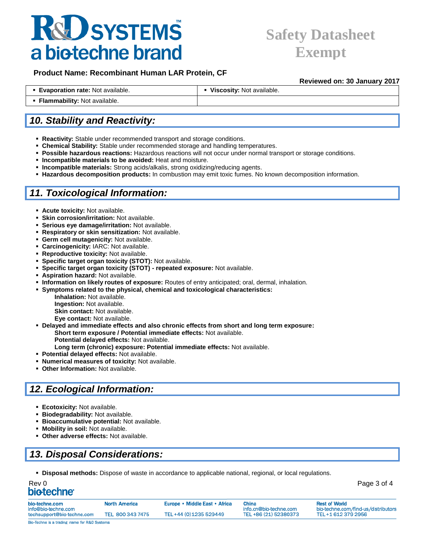# **K&D SYSTEMS** a biotechne brand

## **Safety Datasheet Exempt**

**Reviewed on: 30 January 2017**

#### **Product Name: Recombinant Human LAR Protein, CF**

| <b>Evaporation rate: Not available.</b> | Viscosity: Not available. |
|-----------------------------------------|---------------------------|
| • Flammability: Not available.          |                           |

### *10. Stability and Reactivity:*

- **Reactivity:** Stable under recommended transport and storage conditions.
- **Chemical Stability:** Stable under recommended storage and handling temperatures.
- **Possible hazardous reactions:** Hazardous reactions will not occur under normal transport or storage conditions.
- **Incompatible materials to be avoided:** Heat and moisture.
- **Incompatible materials:** Strong acids/alkalis, strong oxidizing/reducing agents.
- **Hazardous decomposition products:** In combustion may emit toxic fumes. No known decomposition information.

### *11. Toxicological Information:*

- **Acute toxicity:** Not available.
- **Skin corrosion/irritation:** Not available.
- **Serious eye damage/irritation:** Not available.
- **Respiratory or skin sensitization:** Not available.
- **Germ cell mutagenicity:** Not available.
- **Carcinogenicity:** IARC: Not available.
- **Reproductive toxicity:** Not available.
- **Specific target organ toxicity (STOT):** Not available.
- **Specific target organ toxicity (STOT) - repeated exposure:** Not available.
- **Aspiration hazard:** Not available.
- **Information on likely routes of exposure:** Routes of entry anticipated; oral, dermal, inhalation.
- **Symptoms related to the physical, chemical and toxicological characteristics:**

**Inhalation:** Not available. **Ingestion:** Not available. **Skin contact:** Not available. **Eye contact:** Not available.

- **Delayed and immediate effects and also chronic effects from short and long term exposure: Short term exposure / Potential immediate effects:** Not available.
	- **Potential delayed effects:** Not available.
	- **Long term (chronic) exposure: Potential immediate effects:** Not available.
- **Potential delayed effects:** Not available.
- **Numerical measures of toxicity:** Not available.
- **Other Information:** Not available.

### *12. Ecological Information:*

- **Ecotoxicity:** Not available.
- **Biodegradability: Not available.**
- **Bioaccumulative potential:** Not available.
- **Mobility in soil:** Not available.
- **Other adverse effects:** Not available.

### *13. Disposal Considerations:*

**Disposal methods:** Dispose of waste in accordance to applicable national, regional, or local regulations.

| Rev 0            | Page 3 of 4 |
|------------------|-------------|
| <b>biotechne</b> |             |

| Page 3 o |  |
|----------|--|
|          |  |

| bio-techne.com<br>info@bio-techne.com        | <b>North America</b> | Europe • Middle East • Africa | <b>China</b><br>info.cn@bio-techne.com | <b>Rest of World</b><br>bio-techne.com/find-us/distributors |
|----------------------------------------------|----------------------|-------------------------------|----------------------------------------|-------------------------------------------------------------|
| techsupport@bio-techne.com                   | TEL 800 343 7475     | TEL+44 (0) 1235 529449        | TEL +86 (21) 52380373                  | TEL+1 612 379 2956                                          |
| Bio-Techne is a trading name for R&D Systems |                      |                               |                                        |                                                             |